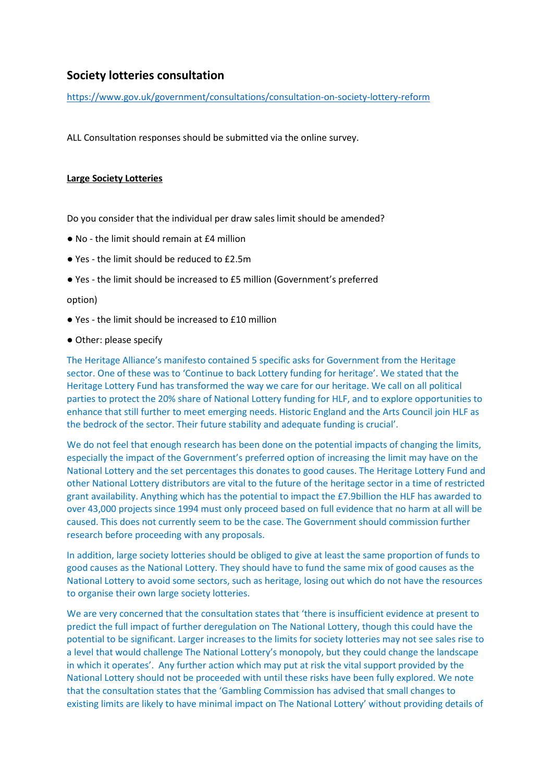# **Society lotteries consultation**

<https://www.gov.uk/government/consultations/consultation-on-society-lottery-reform>

ALL Consultation responses should be submitted via the online survey.

## **Large Society Lotteries**

Do you consider that the individual per draw sales limit should be amended?

- No the limit should remain at £4 million
- Yes the limit should be reduced to £2.5m
- Yes the limit should be increased to £5 million (Government's preferred

### option)

● Yes - the limit should be increased to £10 million

#### ● Other: please specify

The Heritage Alliance's manifesto contained 5 specific asks for Government from the Heritage sector. One of these was to 'Continue to back Lottery funding for heritage'. We stated that the Heritage Lottery Fund has transformed the way we care for our heritage. We call on all political parties to protect the 20% share of National Lottery funding for HLF, and to explore opportunities to enhance that still further to meet emerging needs. Historic England and the Arts Council join HLF as the bedrock of the sector. Their future stability and adequate funding is crucial'.

We do not feel that enough research has been done on the potential impacts of changing the limits, especially the impact of the Government's preferred option of increasing the limit may have on the National Lottery and the set percentages this donates to good causes. The Heritage Lottery Fund and other National Lottery distributors are vital to the future of the heritage sector in a time of restricted grant availability. Anything which has the potential to impact the £7.9billion the HLF has awarded to over 43,000 projects since 1994 must only proceed based on full evidence that no harm at all will be caused. This does not currently seem to be the case. The Government should commission further research before proceeding with any proposals.

In addition, large society lotteries should be obliged to give at least the same proportion of funds to good causes as the National Lottery. They should have to fund the same mix of good causes as the National Lottery to avoid some sectors, such as heritage, losing out which do not have the resources to organise their own large society lotteries.

We are very concerned that the consultation states that 'there is insufficient evidence at present to predict the full impact of further deregulation on The National Lottery, though this could have the potential to be significant. Larger increases to the limits for society lotteries may not see sales rise to a level that would challenge The National Lottery's monopoly, but they could change the landscape in which it operates'. Any further action which may put at risk the vital support provided by the National Lottery should not be proceeded with until these risks have been fully explored. We note that the consultation states that the 'Gambling Commission has advised that small changes to existing limits are likely to have minimal impact on The National Lottery' without providing details of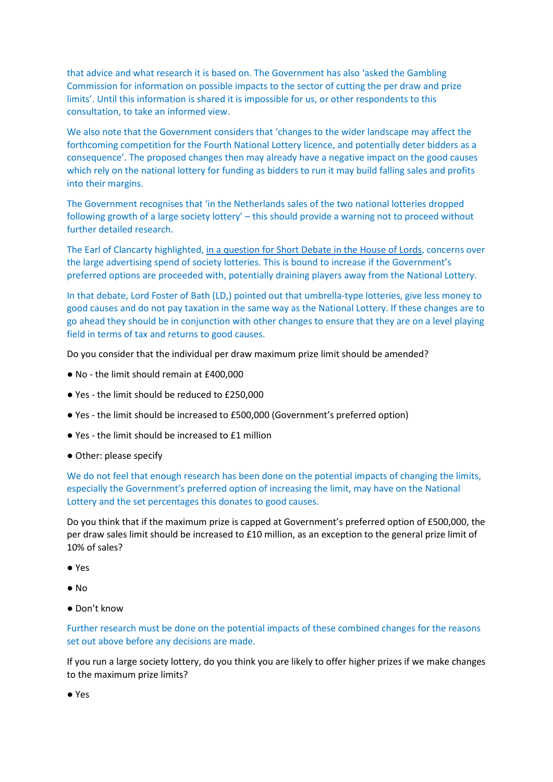that advice and what research it is based on. The Government has also 'asked the Gambling Commission for information on possible impacts to the sector of cutting the per draw and prize limits'. Until this information is shared it is impossible for us, or other respondents to this consultation, to take an informed view.

We also note that the Government considers that 'changes to the wider landscape may affect the forthcoming competition for the Fourth National Lottery licence, and potentially deter bidders as a consequence'. The proposed changes then may already have a negative impact on the good causes which rely on the national lottery for funding as bidders to run it may build falling sales and profits into their margins.

The Government recognises that 'in the Netherlands sales of the two national lotteries dropped following growth of a large society lottery' – this should provide a warning not to proceed without further detailed research.

The Earl of Clancarty highlighted, [in a question for Short Debate in the House of Lords](https://hansard.parliament.uk/Lords/2018-07-16/debates/C61F4040-D8A7-4A5D-96FC-FD3B8752196F/NationalLottery#contribution-E22B3E2D-EBFF-4012-8FD4-5A8E2B4995F0), concerns over the large advertising spend of society lotteries. This is bound to increase if the Government's preferred options are proceeded with, potentially draining players away from the National Lottery.

In that debate, Lord Foster of Bath (LD,) pointed out that umbrella-type lotteries, give less money to good causes and do not pay taxation in the same way as the National Lottery. If these changes are to go ahead they should be in conjunction with other changes to ensure that they are on a level playing field in terms of tax and returns to good causes.

Do you consider that the individual per draw maximum prize limit should be amended?

- No the limit should remain at £400,000
- Yes the limit should be reduced to £250,000
- Yes the limit should be increased to £500,000 (Government's preferred option)
- Yes the limit should be increased to £1 million
- Other: please specify

We do not feel that enough research has been done on the potential impacts of changing the limits, especially the Government's preferred option of increasing the limit, may have on the National Lottery and the set percentages this donates to good causes.

Do you think that if the maximum prize is capped at Government's preferred option of £500,000, the per draw sales limit should be increased to £10 million, as an exception to the general prize limit of 10% of sales?

- Yes
- No
- Don't know

Further research must be done on the potential impacts of these combined changes for the reasons set out above before any decisions are made.

If you run a large society lottery, do you think you are likely to offer higher prizes if we make changes to the maximum prize limits?

● Yes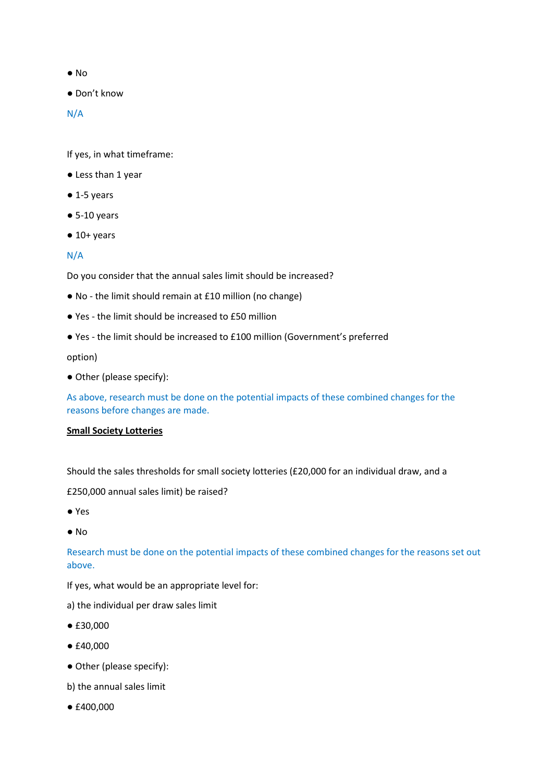- No
- Don't know

N/A

If yes, in what timeframe:

- Less than 1 year
- $\bullet$  1-5 years
- $\bullet$  5-10 years
- $\bullet$  10+ years

# N/A

Do you consider that the annual sales limit should be increased?

- No the limit should remain at £10 million (no change)
- Yes the limit should be increased to £50 million
- Yes the limit should be increased to £100 million (Government's preferred

option)

● Other (please specify):

As above, research must be done on the potential impacts of these combined changes for the reasons before changes are made.

### **Small Society Lotteries**

Should the sales thresholds for small society lotteries (£20,000 for an individual draw, and a

£250,000 annual sales limit) be raised?

- Yes
- No

Research must be done on the potential impacts of these combined changes for the reasons set out above.

If yes, what would be an appropriate level for:

- a) the individual per draw sales limit
- £30,000
- £40,000
- Other (please specify):
- b) the annual sales limit
- £400,000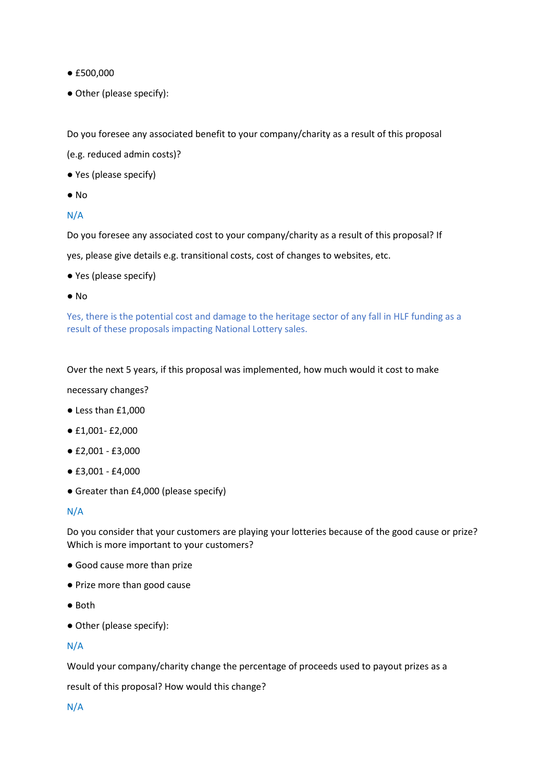- £500,000
- Other (please specify):

Do you foresee any associated benefit to your company/charity as a result of this proposal

(e.g. reduced admin costs)?

- Yes (please specify)
- No

# N/A

Do you foresee any associated cost to your company/charity as a result of this proposal? If

yes, please give details e.g. transitional costs, cost of changes to websites, etc.

- Yes (please specify)
- No

Yes, there is the potential cost and damage to the heritage sector of any fall in HLF funding as a result of these proposals impacting National Lottery sales.

Over the next 5 years, if this proposal was implemented, how much would it cost to make

necessary changes?

- Less than £1,000
- £1,001- £2,000
- £2,001 £3,000
- £3,001 £4,000
- Greater than £4,000 (please specify)

N/A

Do you consider that your customers are playing your lotteries because of the good cause or prize? Which is more important to your customers?

- Good cause more than prize
- Prize more than good cause
- Both
- Other (please specify):

### N/A

Would your company/charity change the percentage of proceeds used to payout prizes as a

result of this proposal? How would this change?

N/A